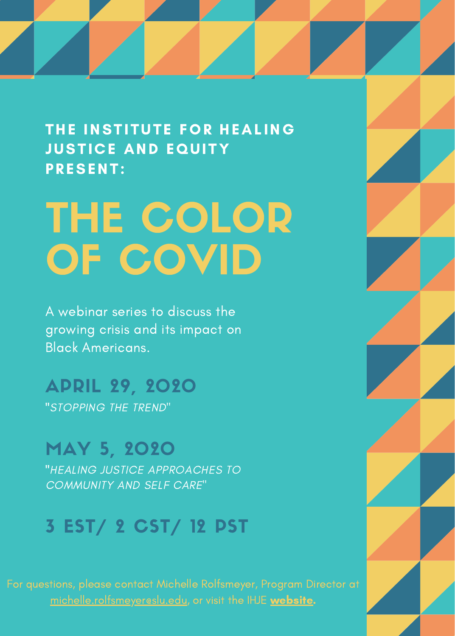THE INSTITUTE FOR HEALING **JUSTICE AND EQUITY** PRESENT:

# THE COLOR OF COVID

A webinar series to discuss the growing crisis and its impact on Black Americans.

APRIL 29, 2020 "STOPPING THE TREND"

### MAY 5, 2020

"HEALING JUSTICE APPROACHES TO COMMUNITY AND SELF CARE"

### 3 EST/ 2 CST/ 12 PST

[michelle.rolfsmeyer@slu.edu](http://slu.edu/), or visit the IHJE [website.](http://www.slu.edu/research/research-institute/big-ideas/institute-for-healing-justice-and-equity/index.php)